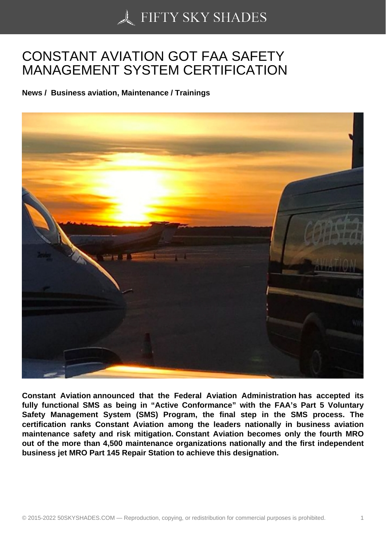## [CONSTANT AVIATION](https://50skyshades.com) GOT FAA SAFETY MANAGEMENT SYSTEM CERTIFICATION

News / Business aviation, Maintenance / Trainings

Constant Aviation announced that the Federal Aviation Administration has accepted its fully functional SMS as being in "Active Conformance" with the FAA's Part 5 Voluntary Safety Management System (SMS) Program, the final step in the SMS process. The certification ranks Constant Aviation among the leaders nationally in business aviation maintenance safety and risk mitigation. Constant Aviation becomes only the fourth MRO out of the more than 4,500 maintenance organizations nationally and the first independent business jet MRO Part 145 Repair Station to achieve this designation.